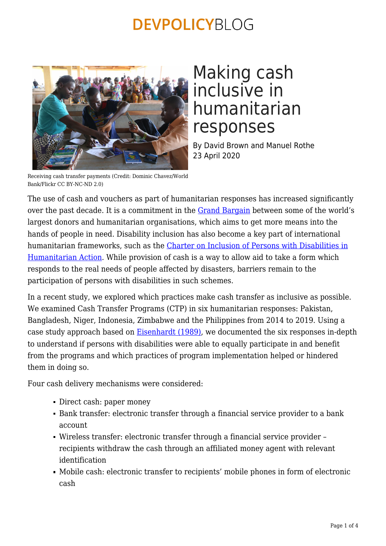

## Making cash inclusive in humanitarian responses

By David Brown and Manuel Rothe 23 April 2020

Receiving cash transfer payments (Credit: Dominic Chavez/World Bank/Flickr CC BY-NC-ND 2.0)

The use of cash and vouchers as part of humanitarian responses has increased significantly over the past decade. It is a commitment in the [Grand Bargain](https://interagencystandingcommittee.org/grand-bargain) between some of the world's largest donors and humanitarian organisations, which aims to get more means into the hands of people in need. Disability inclusion has also become a key part of international humanitarian frameworks, such as the [Charter on Inclusion of Persons with Disabilities in](http://humanitariandisabilitycharter.org/) [Humanitarian Action](http://humanitariandisabilitycharter.org/). While provision of cash is a way to allow aid to take a form which responds to the real needs of people affected by disasters, barriers remain to the participation of persons with disabilities in such schemes.

In a recent study, we explored which practices make cash transfer as inclusive as possible. We examined Cash Transfer Programs (CTP) in six humanitarian responses: Pakistan, Bangladesh, Niger, Indonesia, Zimbabwe and the Philippines from 2014 to 2019. Using a case study approach based on [Eisenhardt \(1989\)](https://www.jstor.org/stable/258557?seq=1#metadata_info_tab_contents), we documented the six responses in-depth to understand if persons with disabilities were able to equally participate in and benefit from the programs and which practices of program implementation helped or hindered them in doing so.

Four cash delivery mechanisms were considered:

- Direct cash: paper money
- Bank transfer: electronic transfer through a financial service provider to a bank account
- Wireless transfer: electronic transfer through a financial service provider recipients withdraw the cash through an affiliated money agent with relevant identification
- Mobile cash: electronic transfer to recipients' mobile phones in form of electronic cash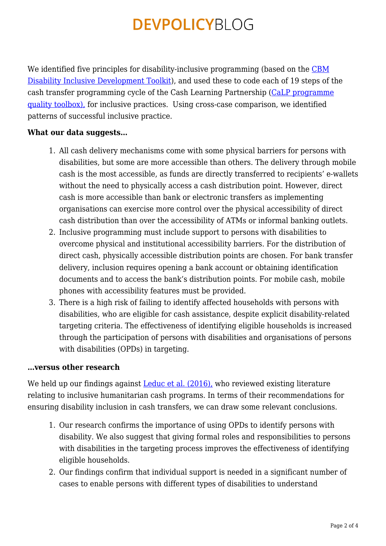We identified five principles for disability-inclusive programming (based on the [CBM](https://www.cbm.org/fileadmin/user_upload/Publications/CBM-DID-TOOLKIT-accessible.pdf) [Disability Inclusive Development Toolkit](https://www.cbm.org/fileadmin/user_upload/Publications/CBM-DID-TOOLKIT-accessible.pdf)), and used these to code each of 19 steps of the cash transfer programming cycle of the Cash Learning Partnership ([CaLP programme](http://pqtoolbox.cashlearning.org/) [quality toolbox\),](http://pqtoolbox.cashlearning.org/) for inclusive practices. Using cross-case comparison, we identified patterns of successful inclusive practice.

### **What our data suggests…**

- 1. All cash delivery mechanisms come with some physical barriers for persons with disabilities, but some are more accessible than others. The delivery through mobile cash is the most accessible, as funds are directly transferred to recipients' e-wallets without the need to physically access a cash distribution point. However, direct cash is more accessible than bank or electronic transfers as implementing organisations can exercise more control over the physical accessibility of direct cash distribution than over the accessibility of ATMs or informal banking outlets.
- 2. Inclusive programming must include support to persons with disabilities to overcome physical and institutional accessibility barriers. For the distribution of direct cash, physically accessible distribution points are chosen. For bank transfer delivery, inclusion requires opening a bank account or obtaining identification documents and to access the bank's distribution points. For mobile cash, mobile phones with accessibility features must be provided.
- 3. There is a high risk of failing to identify affected households with persons with disabilities, who are eligible for cash assistance, despite explicit disability-related targeting criteria. The effectiveness of identifying eligible households is increased through the participation of persons with disabilities and organisations of persons with disabilities (OPDs) in targeting.

#### **…versus other research**

We held up our findings against **Leduc et al.** (2016), who reviewed existing literature relating to inclusive humanitarian cash programs. In terms of their recommendations for ensuring disability inclusion in cash transfers, we can draw some relevant conclusions.

- 1. Our research confirms the importance of using OPDs to identify persons with disability. We also suggest that giving formal roles and responsibilities to persons with disabilities in the targeting process improves the effectiveness of identifying eligible households.
- 2. Our findings confirm that individual support is needed in a significant number of cases to enable persons with different types of disabilities to understand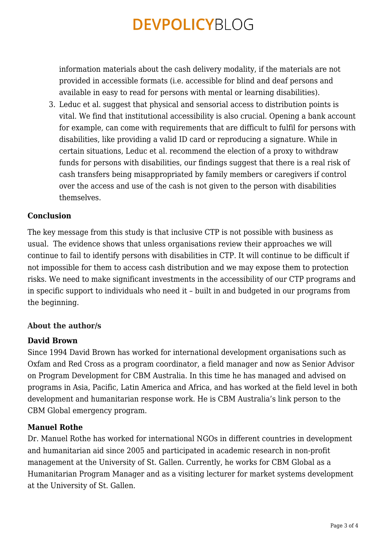information materials about the cash delivery modality, if the materials are not provided in accessible formats (i.e. accessible for blind and deaf persons and available in easy to read for persons with mental or learning disabilities).

3. Leduc et al. suggest that physical and sensorial access to distribution points is vital. We find that institutional accessibility is also crucial. Opening a bank account for example, can come with requirements that are difficult to fulfil for persons with disabilities, like providing a valid ID card or reproducing a signature. While in certain situations, Leduc et al. recommend the election of a proxy to withdraw funds for persons with disabilities, our findings suggest that there is a real risk of cash transfers being misappropriated by family members or caregivers if control over the access and use of the cash is not given to the person with disabilities themselves.

#### **Conclusion**

The key message from this study is that inclusive CTP is not possible with business as usual. The evidence shows that unless organisations review their approaches we will continue to fail to identify persons with disabilities in CTP. It will continue to be difficult if not impossible for them to access cash distribution and we may expose them to protection risks. We need to make significant investments in the accessibility of our CTP programs and in specific support to individuals who need it – built in and budgeted in our programs from the beginning.

#### **About the author/s**

#### **David Brown**

Since 1994 David Brown has worked for international development organisations such as Oxfam and Red Cross as a program coordinator, a field manager and now as Senior Advisor on Program Development for CBM Australia. In this time he has managed and advised on programs in Asia, Pacific, Latin America and Africa, and has worked at the field level in both development and humanitarian response work. He is CBM Australia's link person to the CBM Global emergency program.

#### **Manuel Rothe**

Dr. Manuel Rothe has worked for international NGOs in different countries in development and humanitarian aid since 2005 and participated in academic research in non-profit management at the University of St. Gallen. Currently, he works for CBM Global as a Humanitarian Program Manager and as a visiting lecturer for market systems development at the University of St. Gallen.